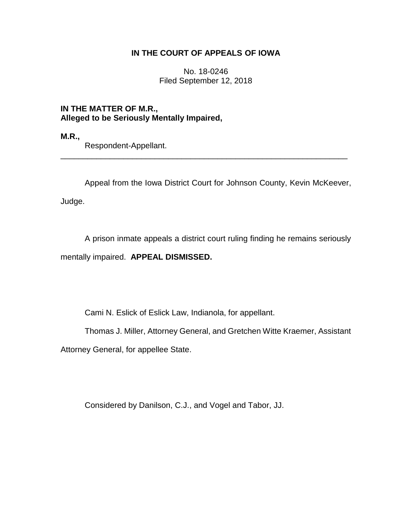## **IN THE COURT OF APPEALS OF IOWA**

No. 18-0246 Filed September 12, 2018

**IN THE MATTER OF M.R., Alleged to be Seriously Mentally Impaired,**

**M.R.,** 

Respondent-Appellant.

Appeal from the Iowa District Court for Johnson County, Kevin McKeever,

\_\_\_\_\_\_\_\_\_\_\_\_\_\_\_\_\_\_\_\_\_\_\_\_\_\_\_\_\_\_\_\_\_\_\_\_\_\_\_\_\_\_\_\_\_\_\_\_\_\_\_\_\_\_\_\_\_\_\_\_\_\_\_\_

Judge.

A prison inmate appeals a district court ruling finding he remains seriously mentally impaired. **APPEAL DISMISSED.**

Cami N. Eslick of Eslick Law, Indianola, for appellant.

Thomas J. Miller, Attorney General, and Gretchen Witte Kraemer, Assistant

Attorney General, for appellee State.

Considered by Danilson, C.J., and Vogel and Tabor, JJ.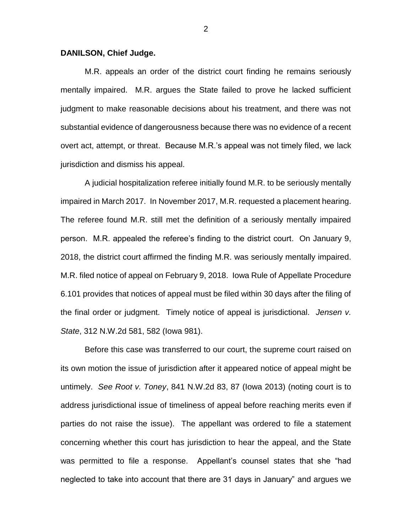## **DANILSON, Chief Judge.**

M.R. appeals an order of the district court finding he remains seriously mentally impaired. M.R. argues the State failed to prove he lacked sufficient judgment to make reasonable decisions about his treatment, and there was not substantial evidence of dangerousness because there was no evidence of a recent overt act, attempt, or threat. Because M.R.'s appeal was not timely filed, we lack jurisdiction and dismiss his appeal.

A judicial hospitalization referee initially found M.R. to be seriously mentally impaired in March 2017. In November 2017, M.R. requested a placement hearing. The referee found M.R. still met the definition of a seriously mentally impaired person. M.R. appealed the referee's finding to the district court. On January 9, 2018, the district court affirmed the finding M.R. was seriously mentally impaired. M.R. filed notice of appeal on February 9, 2018. Iowa Rule of Appellate Procedure 6.101 provides that notices of appeal must be filed within 30 days after the filing of the final order or judgment. Timely notice of appeal is jurisdictional. *Jensen v. State*, 312 N.W.2d 581, 582 (Iowa 981).

Before this case was transferred to our court, the supreme court raised on its own motion the issue of jurisdiction after it appeared notice of appeal might be untimely. *See Root v. Toney*, 841 N.W.2d 83, 87 (Iowa 2013) (noting court is to address jurisdictional issue of timeliness of appeal before reaching merits even if parties do not raise the issue). The appellant was ordered to file a statement concerning whether this court has jurisdiction to hear the appeal, and the State was permitted to file a response. Appellant's counsel states that she "had neglected to take into account that there are 31 days in January" and argues we

2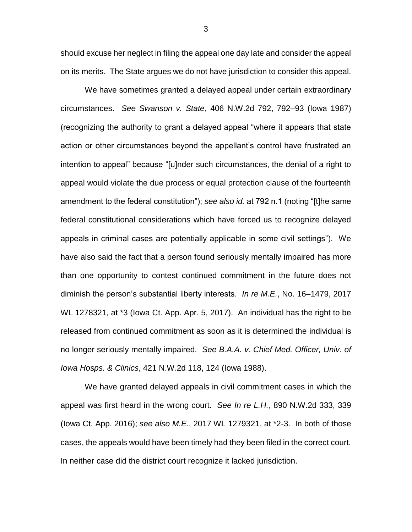should excuse her neglect in filing the appeal one day late and consider the appeal on its merits. The State argues we do not have jurisdiction to consider this appeal.

We have sometimes granted a delayed appeal under certain extraordinary circumstances. *See Swanson v. State*, 406 N.W.2d 792, 792–93 (Iowa 1987) (recognizing the authority to grant a delayed appeal "where it appears that state action or other circumstances beyond the appellant's control have frustrated an intention to appeal" because "[u]nder such circumstances, the denial of a right to appeal would violate the due process or equal protection clause of the fourteenth amendment to the federal constitution"); *see also id.* at 792 n.1 (noting "[t]he same federal constitutional considerations which have forced us to recognize delayed appeals in criminal cases are potentially applicable in some civil settings"). We have also said the fact that a person found seriously mentally impaired has more than one opportunity to contest continued commitment in the future does not diminish the person's substantial liberty interests. *In re M.E.*, No. 16–1479, 2017 WL 1278321, at \*3 (Iowa Ct. App. Apr. 5, 2017). An individual has the right to be released from continued commitment as soon as it is determined the individual is no longer seriously mentally impaired. *See B.A.A. v. Chief Med. Officer, Univ. of Iowa Hosps. & Clinics*, 421 N.W.2d 118, 124 (Iowa 1988).

We have granted delayed appeals in civil commitment cases in which the appeal was first heard in the wrong court. *See In re L.H.*, 890 N.W.2d 333, 339 (Iowa Ct. App. 2016); *see also M.E.*, 2017 WL 1279321, at \*2-3. In both of those cases, the appeals would have been timely had they been filed in the correct court. In neither case did the district court recognize it lacked jurisdiction.

3